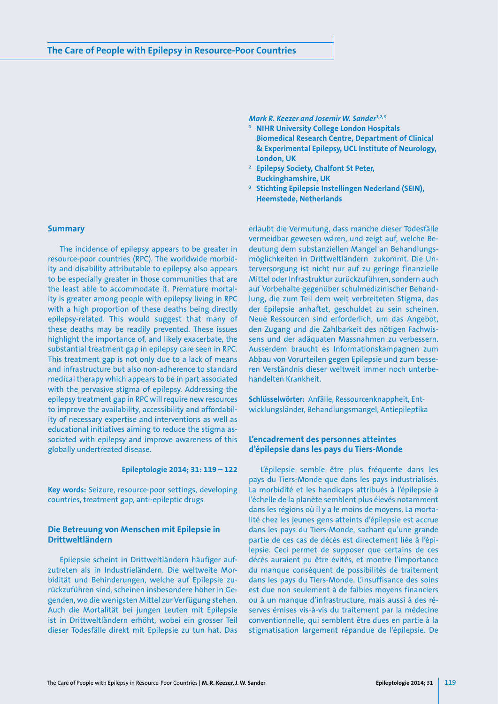*Mark R. Keezer and Josemir W. Sander<sup>1,2,3</sup>* 

- **<sup>1</sup> NIHR University College London Hospitals Biomedical Research Centre, Department of Clinical & Experimental Epilepsy, UCL Institute of Neurology, London, UK**
- **<sup>2</sup> Epilepsy Society, Chalfont St Peter,**
- **Buckinghamshire, UK 3 Stichting Epilepsie Instellingen Nederland (SEIN), Heemstede, Netherlands**

erlaubt die Vermutung, dass manche dieser Todesfälle vermeidbar gewesen wären, und zeigt auf, welche Bedeutung dem substanziellen Mangel an Behandlungsmöglichkeiten in Drittweltländern zukommt. Die Unterversorgung ist nicht nur auf zu geringe finanzielle Mittel oder Infrastruktur zurückzuführen, sondern auch auf Vorbehalte gegenüber schulmedizinischer Behandlung, die zum Teil dem weit verbreiteten Stigma, das der Epilepsie anhaftet, geschuldet zu sein scheinen. Neue Ressourcen sind erforderlich, um das Angebot, den Zugang und die Zahlbarkeit des nötigen Fachwissens und der adäquaten Massnahmen zu verbessern. Ausserdem braucht es Informationskampagnen zum Abbau von Vorurteilen gegen Epilepsie und zum besseren Verständnis dieser weltweit immer noch unterbehandelten Krankheit.

**Schlüsselwörter:** Anfälle, Ressourcenknappheit, Entwicklungsländer, Behandlungsmangel, Antiepileptika

## **L'encadrement des personnes atteintes d'épilepsie dans les pays du Tiers-Monde**

L'épilepsie semble être plus fréquente dans les pays du Tiers-Monde que dans les pays industrialisés. La morbidité et les handicaps attribués à l'épilepsie à l'échelle de la planète semblent plus élevés notamment dans les régions où il y a le moins de moyens. La mortalité chez les jeunes gens atteints d'épilepsie est accrue dans les pays du Tiers-Monde, sachant qu'une grande partie de ces cas de décès est directement liée à l'épilepsie. Ceci permet de supposer que certains de ces décès auraient pu être évités, et montre l'importance du manque conséquent de possibilités de traitement dans les pays du Tiers-Monde. L'insuffisance des soins est due non seulement à de faibles moyens financiers ou à un manque d'infrastructure, mais aussi à des réserves émises vis-à-vis du traitement par la médecine conventionnelle, qui semblent être dues en partie à la stigmatisation largement répandue de l'épilepsie. De

### **Summary**

The incidence of epilepsy appears to be greater in resource-poor countries (RPC). The worldwide morbidity and disability attributable to epilepsy also appears to be especially greater in those communities that are the least able to accommodate it. Premature mortality is greater among people with epilepsy living in RPC with a high proportion of these deaths being directly epilepsy-related. This would suggest that many of these deaths may be readily prevented. These issues highlight the importance of, and likely exacerbate, the substantial treatment gap in epilepsy care seen in RPC. This treatment gap is not only due to a lack of means and infrastructure but also non-adherence to standard medical therapy which appears to be in part associated with the pervasive stigma of epilepsy. Addressing the epilepsy treatment gap in RPC will require new resources to improve the availability, accessibility and affordability of necessary expertise and interventions as well as educational initiatives aiming to reduce the stigma associated with epilepsy and improve awareness of this globally undertreated disease.

#### **Epileptologie 2014; 31: 119 – 122**

**Key words:** Seizure, resource-poor settings, developing countries, treatment gap, anti-epileptic drugs

# **Die Betreuung von Menschen mit Epilepsie in Drittweltländern**

Epilepsie scheint in Drittweltländern häufiger aufzutreten als in Industrieländern. Die weltweite Morbidität und Behinderungen, welche auf Epilepsie zurückzuführen sind, scheinen insbesondere höher in Gegenden, wo die wenigsten Mittel zur Verfügung stehen. Auch die Mortalität bei jungen Leuten mit Epilepsie ist in Drittweltländern erhöht, wobei ein grosser Teil dieser Todesfälle direkt mit Epilepsie zu tun hat. Das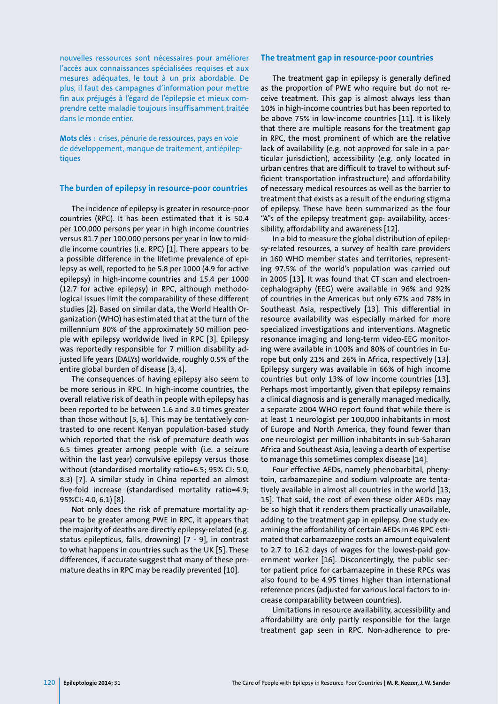nouvelles ressources sont nécessaires pour améliorer l'accès aux connaissances spécialisées requises et aux mesures adéquates, le tout à un prix abordable. De plus, il faut des campagnes d'information pour mettre fin aux préjugés à l'égard de l'épilepsie et mieux comprendre cette maladie toujours insuffisamment traitée dans le monde entier.

**Mots clés :** crises, pénurie de ressources, pays en voie de développement, manque de traitement, antiépileptiques

## **The burden of epilepsy in resource-poor countries**

The incidence of epilepsy is greater in resource-poor countries (RPC). It has been estimated that it is 50.4 per 100,000 persons per year in high income countries versus 81.7 per 100,000 persons per year in low to middle income countries (i.e. RPC) [1]. There appears to be a possible difference in the lifetime prevalence of epilepsy as well, reported to be 5.8 per 1000 (4.9 for active epilepsy) in high-income countries and 15.4 per 1000 (12.7 for active epilepsy) in RPC, although methodological issues limit the comparability of these different studies [2]. Based on similar data, the World Health Organization (WHO) has estimated that at the turn of the millennium 80% of the approximately 50 million people with epilepsy worldwide lived in RPC [3]. Epilepsy was reportedly responsible for 7 million disability adjusted life years (DALYs) worldwide, roughly 0.5% of the entire global burden of disease [3, 4].

The consequences of having epilepsy also seem to be more serious in RPC. In high-income countries, the overall relative risk of death in people with epilepsy has been reported to be between 1.6 and 3.0 times greater than those without [5, 6]. This may be tentatively contrasted to one recent Kenyan population-based study which reported that the risk of premature death was 6.5 times greater among people with (i.e. a seizure within the last year) convulsive epilepsy versus those without (standardised mortality ratio=6.5; 95% CI: 5.0, 8.3) [7]. A similar study in China reported an almost five-fold increase (standardised mortality ratio=4.9; 95%CI: 4.0, 6.1) [8].

Not only does the risk of premature mortality appear to be greater among PWE in RPC, it appears that the majority of deaths are directly epilepsy-related (e.g. status epilepticus, falls, drowning) [7 - 9], in contrast to what happens in countries such as the UK [5]. These differences, if accurate suggest that many of these premature deaths in RPC may be readily prevented [10].

#### **The treatment gap in resource-poor countries**

The treatment gap in epilepsy is generally defined as the proportion of PWE who require but do not receive treatment. This gap is almost always less than 10% in high-income countries but has been reported to be above 75% in low-income countries [11]. It is likely that there are multiple reasons for the treatment gap in RPC, the most prominent of which are the relative lack of availability (e.g. not approved for sale in a particular jurisdiction), accessibility (e.g. only located in urban centres that are difficult to travel to without sufficient transportation infrastructure) and affordability of necessary medical resources as well as the barrier to treatment that exists as a result of the enduring stigma of epilepsy. These have been summarized as the four "A"s of the epilepsy treatment gap: availability, accessibility, affordability and awareness [12].

In a bid to measure the global distribution of epilepsy-related resources, a survey of health care providers in 160 WHO member states and territories, representing 97.5% of the world's population was carried out in 2005 [13]. It was found that CT scan and electroencephalography (EEG) were available in 96% and 92% of countries in the Americas but only 67% and 78% in Southeast Asia, respectively [13]. This differential in resource availability was especially marked for more specialized investigations and interventions. Magnetic resonance imaging and long-term video-EEG monitoring were available in 100% and 80% of countries in Europe but only 21% and 26% in Africa, respectively [13]. Epilepsy surgery was available in 66% of high income countries but only 13% of low income countries [13]. Perhaps most importantly, given that epilepsy remains a clinical diagnosis and is generally managed medically, a separate 2004 WHO report found that while there is at least 1 neurologist per 100,000 inhabitants in most of Europe and North America, they found fewer than one neurologist per million inhabitants in sub-Saharan Africa and Southeast Asia, leaving a dearth of expertise to manage this sometimes complex disease [14].

Four effective AEDs, namely phenobarbital, phenytoin, carbamazepine and sodium valproate are tentatively available in almost all countries in the world [13, 15]. That said, the cost of even these older AEDs may be so high that it renders them practically unavailable, adding to the treatment gap in epilepsy. One study examining the affordability of certain AEDs in 46 RPC estimated that carbamazepine costs an amount equivalent to 2.7 to 16.2 days of wages for the lowest-paid government worker [16]. Disconcertingly, the public sector patient price for carbamazepine in these RPCs was also found to be 4.95 times higher than international reference prices (adjusted for various local factors to increase comparability between countries).

Limitations in resource availability, accessibility and affordability are only partly responsible for the large treatment gap seen in RPC. Non-adherence to pre-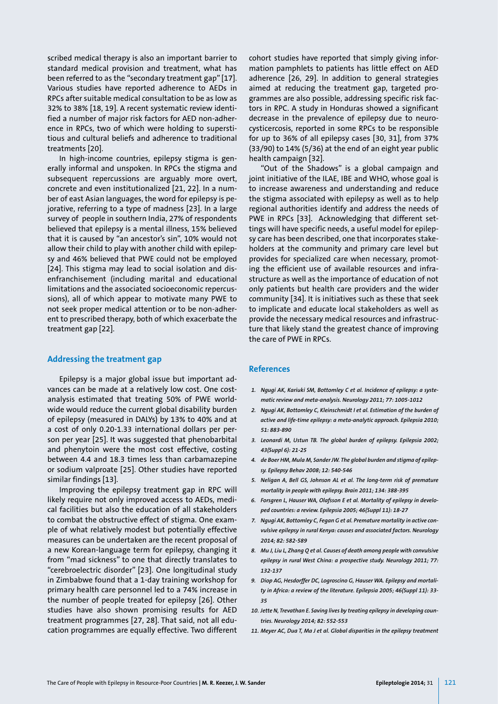scribed medical therapy is also an important barrier to standard medical provision and treatment, what has been referred to as the "secondary treatment gap" [17]. Various studies have reported adherence to AEDs in RPCs after suitable medical consultation to be as low as 32% to 38% [18, 19]. A recent systematic review identified a number of major risk factors for AED non-adherence in RPCs, two of which were holding to superstitious and cultural beliefs and adherence to traditional treatments [20].

In high-income countries, epilepsy stigma is generally informal and unspoken. In RPCs the stigma and subsequent repercussions are arguably more overt, concrete and even institutionalized [21, 22]. In a number of east Asian languages, the word for epilepsy is pejorative, referring to a type of madness [23]. In a large survey of people in southern India, 27% of respondents believed that epilepsy is a mental illness, 15% believed that it is caused by "an ancestor's sin", 10% would not allow their child to play with another child with epilepsy and 46% believed that PWE could not be employed [24]. This stigma may lead to social isolation and disenfranchisement (including marital and educational limitations and the associated socioeconomic repercussions), all of which appear to motivate many PWE to not seek proper medical attention or to be non-adherent to prescribed therapy, both of which exacerbate the treatment gap [22].

### **Addressing the treatment gap**

Epilepsy is a major global issue but important advances can be made at a relatively low cost. One costanalysis estimated that treating 50% of PWE worldwide would reduce the current global disability burden of epilepsy (measured in DALYs) by 13% to 40% and at a cost of only 0.20-1.33 international dollars per person per year [25]. It was suggested that phenobarbital and phenytoin were the most cost effective, costing between 4.4 and 18.3 times less than carbamazepine or sodium valproate [25]. Other studies have reported similar findings [13].

Improving the epilepsy treatment gap in RPC will likely require not only improved access to AEDs, medical facilities but also the education of all stakeholders to combat the obstructive effect of stigma. One example of what relatively modest but potentially effective measures can be undertaken are the recent proposal of a new Korean-language term for epilepsy, changing it from "mad sickness" to one that directly translates to "cerebroelectric disorder" [23]. One longitudinal study in Zimbabwe found that a 1-day training workshop for primary health care personnel led to a 74% increase in the number of people treated for epilepsy [26]. Other studies have also shown promising results for AED treatment programmes [27, 28]. That said, not all education programmes are equally effective. Two different cohort studies have reported that simply giving information pamphlets to patients has little effect on AED adherence [26, 29]. In addition to general strategies aimed at reducing the treatment gap, targeted programmes are also possible, addressing specific risk factors in RPC. A study in Honduras showed a significant decrease in the prevalence of epilepsy due to neurocysticercosis, reported in some RPCs to be responsible for up to 36% of all epilepsy cases [30, 31], from 37% (33/90) to 14% (5/36) at the end of an eight year public health campaign [32].

"Out of the Shadows" is a global campaign and joint initiative of the ILAE, IBE and WHO, whose goal is to increase awareness and understanding and reduce the stigma associated with epilepsy as well as to help regional authorities identify and address the needs of PWE in RPCs [33]. Acknowledging that different settings will have specific needs, a useful model for epilepsy care has been described, one that incorporates stakeholders at the community and primary care level but provides for specialized care when necessary, promoting the efficient use of available resources and infrastructure as well as the importance of education of not only patients but health care providers and the wider community [34]. It is initiatives such as these that seek to implicate and educate local stakeholders as well as provide the necessary medical resources and infrastructure that likely stand the greatest chance of improving the care of PWE in RPCs.

### **References**

- *1. Ngugi AK, Kariuki SM, Bottomley C et al. Incidence of epilepsy: a systematic review and meta-analysis. Neurology 2011; 77: 1005-1012*
- *2. Ngugi AK, Bottomley C, Kleinschmidt I et al. Estimation of the burden of active and life-time epilepsy: a meta-analytic approach. Epilepsia 2010; 51: 883-890*
- *3. Leonardi M, Ustun TB. The global burden of epilepsy. Epilepsia 2002; 43(Suppl 6): 21-25*
- *4. de Boer HM, Mula M, Sander JW. The global burden and stigma of epilepsy. Epilepsy Behav 2008; 12: 540-546*
- *5. Neligan A, Bell GS, Johnson AL et al. The long-term risk of premature mortality in people with epilepsy. Brain 2011; 134: 388-395*
- *6. Forsgren L, Hauser WA, Olafsson E et al. Mortality of epilepsy in developed countries: a review. Epilepsia 2005; 46(Suppl 11): 18-27*
- *7. Ngugi AK, Bottomley C, Fegan G et al. Premature mortality in active convulsive epilepsy in rural Kenya: causes and associated factors. Neurology 2014; 82: 582-589*
- *8. Mu J, Liu L, Zhang Q et al. Causes of death among people with convulsive epilepsy in rural West China: a prospective study. Neurology 2011; 77: 132-137*
- *9. Diop AG, Hesdorffer DC, Logroscino G, Hauser WA. Epilepsy and mortality in Africa: a review of the literature. Epilepsia 2005; 46(Suppl 11): 33- 35*
- *10. Jette N, Trevathan E. Saving lives by treating epilepsy in developing countries. Neurology 2014; 82: 552-553*
- *11. Meyer AC, Dua T, Ma J et al. Global disparities in the epilepsy treatment*